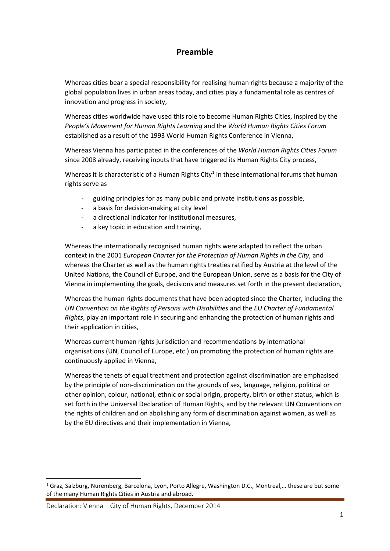## **Preamble**

Whereas cities bear a special responsibility for realising human rights because a majority of the global population lives in urban areas today, and cities play a fundamental role as centres of innovation and progress in society,

Whereas cities worldwide have used this role to become Human Rights Cities, inspired by the *People's Movement for Human Rights Learning* and the *World Human Rights Cities Forum* established as a result of the 1993 World Human Rights Conference in Vienna,

Whereas Vienna has participated in the conferences of the *World Human Rights Cities Forum* since 2008 already, receiving inputs that have triggered its Human Rights City process,

Whereas it is characteristic of a Human Rights City<sup>[1](#page-0-0)</sup> in these international forums that human rights serve as

- guiding principles for as many public and private institutions as possible,
- a basis for decision-making at city level
- a directional indicator for institutional measures,
- a key topic in education and training,

Whereas the internationally recognised human rights were adapted to reflect the urban context in the 2001 *European Charter for the Protection of Human Rights in the City*, and whereas the Charter as well as the human rights treaties ratified by Austria at the level of the United Nations, the Council of Europe, and the European Union, serve as a basis for the City of Vienna in implementing the goals, decisions and measures set forth in the present declaration,

Whereas the human rights documents that have been adopted since the Charter, including the *UN Convention on the Rights of Persons with Disabilities* and the *EU Charter of Fundamental Rights*, play an important role in securing and enhancing the protection of human rights and their application in cities,

Whereas current human rights jurisdiction and recommendations by international organisations (UN, Council of Europe, etc.) on promoting the protection of human rights are continuously applied in Vienna,

Whereas the tenets of equal treatment and protection against discrimination are emphasised by the principle of non-discrimination on the grounds of sex, language, religion, political or other opinion, colour, national, ethnic or social origin, property, birth or other status, which is set forth in the Universal Declaration of Human Rights, and by the relevant UN Conventions on the rights of children and on abolishing any form of discrimination against women, as well as by the EU directives and their implementation in Vienna,

Declaration: Vienna – City of Human Rights, December 2014

 $\overline{a}$ 

<span id="page-0-0"></span><sup>&</sup>lt;sup>1</sup> Graz, Salzburg, Nuremberg, Barcelona, Lyon, Porto Allegre, Washington D.C., Montreal,... these are but some of the many Human Rights Cities in Austria and abroad.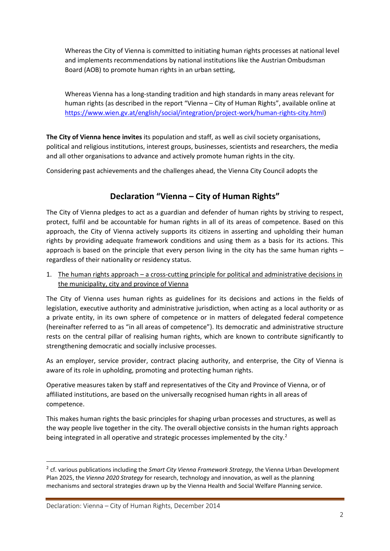Whereas the City of Vienna is committed to initiating human rights processes at national level and implements recommendations by national institutions like the Austrian Ombudsman Board (AOB) to promote human rights in an urban setting,

Whereas Vienna has a long-standing tradition and high standards in many areas relevant for human rights (as described in the report "Vienna - City of Human Rights", available online at [https://www.wien.gv.at/english/social/integration/project-work/human-rights-city.html\)](https://www.wien.gv.at/english/social/integration/project-work/human-rights-city.html)

**The City of Vienna hence invites** its population and staff, as well as civil society organisations, political and religious institutions, interest groups, businesses, scientists and researchers, the media and all other organisations to advance and actively promote human rights in the city.

Considering past achievements and the challenges ahead, the Vienna City Council adopts the

# **Declaration "Vienna – City of Human Rights"**

The City of Vienna pledges to act as a guardian and defender of human rights by striving to respect, protect, fulfil and be accountable for human rights in all of its areas of competence. Based on this approach, the City of Vienna actively supports its citizens in asserting and upholding their human rights by providing adequate framework conditions and using them as a basis for its actions. This approach is based on the principle that every person living in the city has the same human rights – regardless of their nationality or residency status.

1. The human rights approach – a cross-cutting principle for political and administrative decisions in the municipality, city and province of Vienna

The City of Vienna uses human rights as guidelines for its decisions and actions in the fields of legislation, executive authority and administrative jurisdiction, when acting as a local authority or as a private entity, in its own sphere of competence or in matters of delegated federal competence (hereinafter referred to as "in all areas of competence"). Its democratic and administrative structure rests on the central pillar of realising human rights, which are known to contribute significantly to strengthening democratic and socially inclusive processes.

As an employer, service provider, contract placing authority, and enterprise, the City of Vienna is aware of its role in upholding, promoting and protecting human rights.

Operative measures taken by staff and representatives of the City and Province of Vienna, or of affiliated institutions, are based on the universally recognised human rights in all areas of competence.

This makes human rights the basic principles for shaping urban processes and structures, as well as the way people live together in the city. The overall objective consists in the human rights approach being integrated in all operative and strategic processes implemented by the city.<sup>[2](#page-1-0)</sup>

 $\overline{a}$ 

<span id="page-1-0"></span><sup>2</sup> cf. various publications including the *Smart City Vienna Framework Strategy*, the Vienna Urban Development Plan 2025, the *Vienna 2020 Strategy* for research, technology and innovation, as well as the planning mechanisms and sectoral strategies drawn up by the Vienna Health and Social Welfare Planning service.

Declaration: Vienna – City of Human Rights, December 2014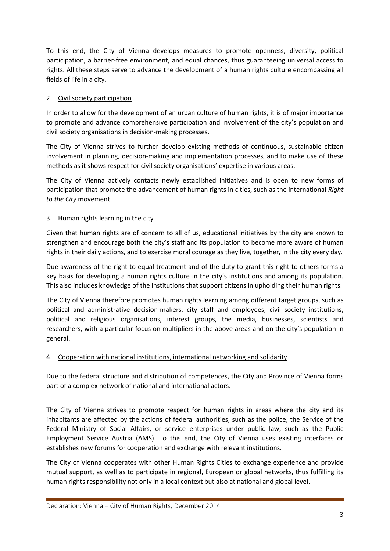To this end, the City of Vienna develops measures to promote openness, diversity, political participation, a barrier-free environment, and equal chances, thus guaranteeing universal access to rights. All these steps serve to advance the development of a human rights culture encompassing all fields of life in a city.

### 2. Civil society participation

In order to allow for the development of an urban culture of human rights, it is of major importance to promote and advance comprehensive participation and involvement of the city's population and civil society organisations in decision-making processes.

The City of Vienna strives to further develop existing methods of continuous, sustainable citizen involvement in planning, decision-making and implementation processes, and to make use of these methods as it shows respect for civil society organisations' expertise in various areas.

The City of Vienna actively contacts newly established initiatives and is open to new forms of participation that promote the advancement of human rights in cities, such as the international *Right to the City* movement.

#### 3. Human rights learning in the city

Given that human rights are of concern to all of us, educational initiatives by the city are known to strengthen and encourage both the city's staff and its population to become more aware of human rights in their daily actions, and to exercise moral courage as they live, together, in the city every day.

Due awareness of the right to equal treatment and of the duty to grant this right to others forms a key basis for developing a human rights culture in the city's institutions and among its population. This also includes knowledge of the institutions that support citizens in upholding their human rights.

The City of Vienna therefore promotes human rights learning among different target groups, such as political and administrative decision-makers, city staff and employees, civil society institutions, political and religious organisations, interest groups, the media, businesses, scientists and researchers, with a particular focus on multipliers in the above areas and on the city's population in general.

#### 4. Cooperation with national institutions, international networking and solidarity

Due to the federal structure and distribution of competences, the City and Province of Vienna forms part of a complex network of national and international actors.

The City of Vienna strives to promote respect for human rights in areas where the city and its inhabitants are affected by the actions of federal authorities, such as the police, the Service of the Federal Ministry of Social Affairs, or service enterprises under public law, such as the Public Employment Service Austria (AMS). To this end, the City of Vienna uses existing interfaces or establishes new forums for cooperation and exchange with relevant institutions.

The City of Vienna cooperates with other Human Rights Cities to exchange experience and provide mutual support, as well as to participate in regional, European or global networks, thus fulfilling its human rights responsibility not only in a local context but also at national and global level.